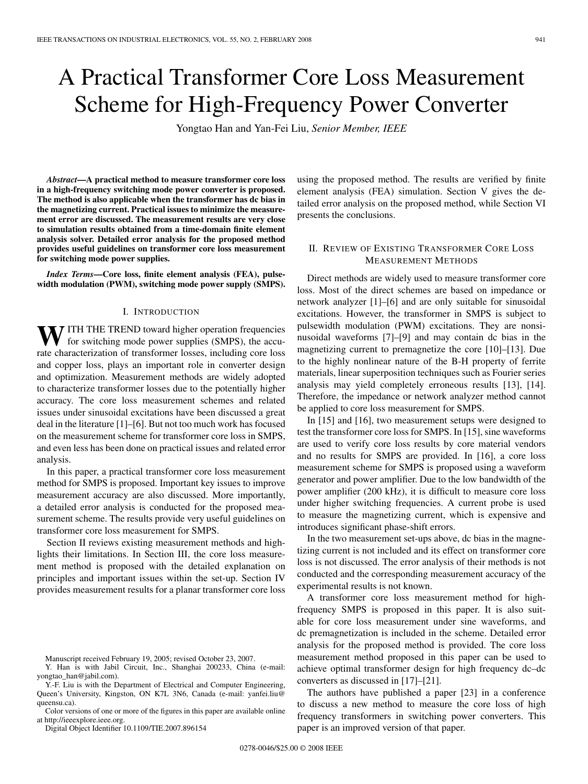# A Practical Transformer Core Loss Measurement Scheme for High-Frequency Power Converter

Yongtao Han and Yan-Fei Liu, *Senior Member, IEEE*

*Abstract***—A practical method to measure transformer core loss in a high-frequency switching mode power converter is proposed. The method is also applicable when the transformer has dc bias in the magnetizing current. Practical issues to minimize the measurement error are discussed. The measurement results are very close to simulation results obtained from a time-domain finite element analysis solver. Detailed error analysis for the proposed method provides useful guidelines on transformer core loss measurement for switching mode power supplies.**

*Index Terms***—Core loss, finite element analysis (FEA), pulsewidth modulation (PWM), switching mode power supply (SMPS).**

## I. INTRODUCTION

**WITH THE TREND toward higher operation frequencies** for switching mode power supplies (SMPS), the accurate characterization of transformer losses, including core loss and copper loss, plays an important role in converter design and optimization. Measurement methods are widely adopted to characterize transformer losses due to the potentially higher accuracy. The core loss measurement schemes and related issues under sinusoidal excitations have been discussed a great deal in the literature [1]–[6]. But not too much work has focused on the measurement scheme for transformer core loss in SMPS, and even less has been done on practical issues and related error analysis.

In this paper, a practical transformer core loss measurement method for SMPS is proposed. Important key issues to improve measurement accuracy are also discussed. More importantly, a detailed error analysis is conducted for the proposed measurement scheme. The results provide very useful guidelines on transformer core loss measurement for SMPS.

Section II reviews existing measurement methods and highlights their limitations. In Section III, the core loss measurement method is proposed with the detailed explanation on principles and important issues within the set-up. Section IV provides measurement results for a planar transformer core loss

Color versions of one or more of the figures in this paper are available online at http://ieeexplore.ieee.org.

Digital Object Identifier 10.1109/TIE.2007.896154

using the proposed method. The results are verified by finite element analysis (FEA) simulation. Section V gives the detailed error analysis on the proposed method, while Section VI presents the conclusions.

# II. REVIEW OF EXISTING TRANSFORMER CORE LOSS MEASUREMENT METHODS

Direct methods are widely used to measure transformer core loss. Most of the direct schemes are based on impedance or network analyzer [1]–[6] and are only suitable for sinusoidal excitations. However, the transformer in SMPS is subject to pulsewidth modulation (PWM) excitations. They are nonsinusoidal waveforms [7]–[9] and may contain dc bias in the magnetizing current to premagnetize the core [10]–[13]. Due to the highly nonlinear nature of the B-H property of ferrite materials, linear superposition techniques such as Fourier series analysis may yield completely erroneous results [13], [14]. Therefore, the impedance or network analyzer method cannot be applied to core loss measurement for SMPS.

In [15] and [16], two measurement setups were designed to test the transformer core loss for SMPS. In [15], sine waveforms are used to verify core loss results by core material vendors and no results for SMPS are provided. In [16], a core loss measurement scheme for SMPS is proposed using a waveform generator and power amplifier. Due to the low bandwidth of the power amplifier (200 kHz), it is difficult to measure core loss under higher switching frequencies. A current probe is used to measure the magnetizing current, which is expensive and introduces significant phase-shift errors.

In the two measurement set-ups above, dc bias in the magnetizing current is not included and its effect on transformer core loss is not discussed. The error analysis of their methods is not conducted and the corresponding measurement accuracy of the experimental results is not known.

A transformer core loss measurement method for highfrequency SMPS is proposed in this paper. It is also suitable for core loss measurement under sine waveforms, and dc premagnetization is included in the scheme. Detailed error analysis for the proposed method is provided. The core loss measurement method proposed in this paper can be used to achieve optimal transformer design for high frequency dc–dc converters as discussed in [17]–[21].

The authors have published a paper [23] in a conference to discuss a new method to measure the core loss of high frequency transformers in switching power converters. This paper is an improved version of that paper.

Manuscript received February 19, 2005; revised October 23, 2007.

Y. Han is with Jabil Circuit, Inc., Shanghai 200233, China (e-mail: yongtao\_han@jabil.com).

Y.-F. Liu is with the Department of Electrical and Computer Engineering, Queen's University, Kingston, ON K7L 3N6, Canada (e-mail: yanfei.liu@ queensu.ca).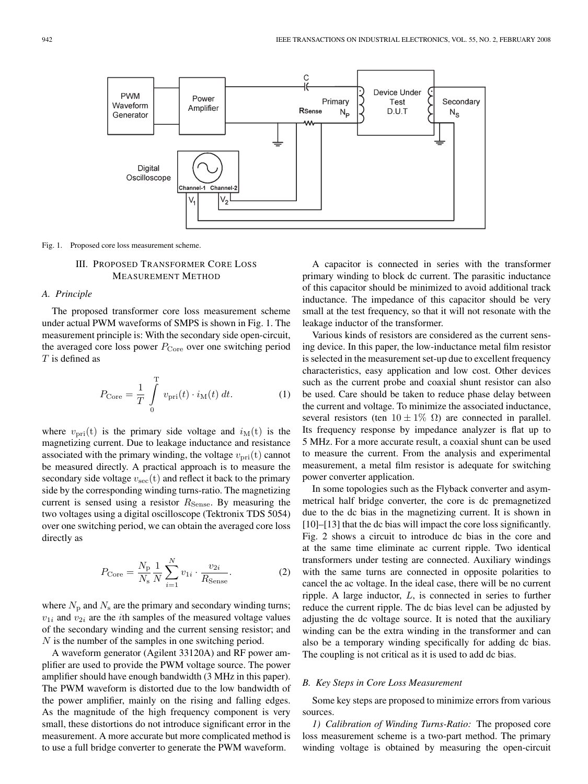

Fig. 1. Proposed core loss measurement scheme.

# III. PROPOSED TRANSFORMER CORE LOSS MEASUREMENT METHOD

# *A. Principle*

The proposed transformer core loss measurement scheme under actual PWM waveforms of SMPS is shown in Fig. 1. The measurement principle is: With the secondary side open-circuit, the averaged core loss power  $P_{\text{Core}}$  over one switching period T is defined as

$$
P_{\text{Core}} = \frac{1}{T} \int_{0}^{T} v_{\text{pri}}(t) \cdot i_{\text{M}}(t) dt.
$$
 (1)

where  $v_{\text{pri}}(t)$  is the primary side voltage and  $i_M(t)$  is the magnetizing current. Due to leakage inductance and resistance associated with the primary winding, the voltage  $v_{\text{pri}}(t)$  cannot be measured directly. A practical approach is to measure the secondary side voltage  $v_{\text{sec}}(t)$  and reflect it back to the primary side by the corresponding winding turns-ratio. The magnetizing current is sensed using a resistor  $R_{\text{Sense}}$ . By measuring the two voltages using a digital oscilloscope (Tektronix TDS 5054) over one switching period, we can obtain the averaged core loss directly as

$$
P_{\text{Core}} = \frac{N_{\text{p}}}{N_{\text{s}}} \frac{1}{N} \sum_{i=1}^{N} v_{1i} \cdot \frac{v_{2i}}{R_{\text{Sense}}}.
$$
 (2)

where  $N_{\rm p}$  and  $N_{\rm s}$  are the primary and secondary winding turns;  $v_{1i}$  and  $v_{2i}$  are the *i*th samples of the measured voltage values of the secondary winding and the current sensing resistor; and N is the number of the samples in one switching period.

A waveform generator (Agilent 33120A) and RF power amplifier are used to provide the PWM voltage source. The power amplifier should have enough bandwidth (3 MHz in this paper). The PWM waveform is distorted due to the low bandwidth of the power amplifier, mainly on the rising and falling edges. As the magnitude of the high frequency component is very small, these distortions do not introduce significant error in the measurement. A more accurate but more complicated method is to use a full bridge converter to generate the PWM waveform.

A capacitor is connected in series with the transformer primary winding to block dc current. The parasitic inductance of this capacitor should be minimized to avoid additional track inductance. The impedance of this capacitor should be very small at the test frequency, so that it will not resonate with the leakage inductor of the transformer.

Various kinds of resistors are considered as the current sensing device. In this paper, the low-inductance metal film resistor is selected in the measurement set-up due to excellent frequency characteristics, easy application and low cost. Other devices such as the current probe and coaxial shunt resistor can also be used. Care should be taken to reduce phase delay between the current and voltage. To minimize the associated inductance, several resistors (ten  $10 \pm 1\%$  Ω) are connected in parallel. Its frequency response by impedance analyzer is flat up to 5 MHz. For a more accurate result, a coaxial shunt can be used to measure the current. From the analysis and experimental measurement, a metal film resistor is adequate for switching power converter application.

In some topologies such as the Flyback converter and asymmetrical half bridge converter, the core is dc premagnetized due to the dc bias in the magnetizing current. It is shown in [10]–[13] that the dc bias will impact the core loss significantly. Fig. 2 shows a circuit to introduce dc bias in the core and at the same time eliminate ac current ripple. Two identical transformers under testing are connected. Auxiliary windings with the same turns are connected in opposite polarities to cancel the ac voltage. In the ideal case, there will be no current ripple. A large inductor, L, is connected in series to further reduce the current ripple. The dc bias level can be adjusted by adjusting the dc voltage source. It is noted that the auxiliary winding can be the extra winding in the transformer and can also be a temporary winding specifically for adding dc bias. The coupling is not critical as it is used to add dc bias.

## *B. Key Steps in Core Loss Measurement*

Some key steps are proposed to minimize errors from various sources.

*1) Calibration of Winding Turns-Ratio:* The proposed core loss measurement scheme is a two-part method. The primary winding voltage is obtained by measuring the open-circuit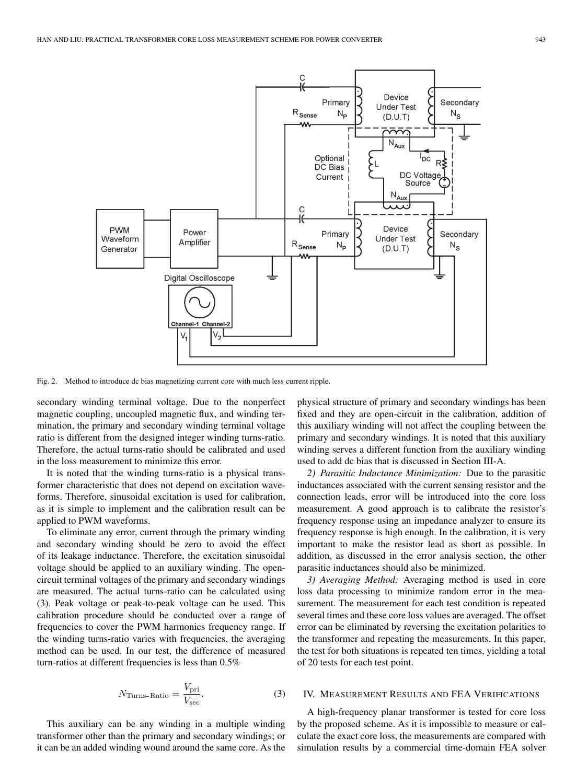

Fig. 2. Method to introduce dc bias magnetizing current core with much less current ripple.

secondary winding terminal voltage. Due to the nonperfect magnetic coupling, uncoupled magnetic flux, and winding termination, the primary and secondary winding terminal voltage ratio is different from the designed integer winding turns-ratio. Therefore, the actual turns-ratio should be calibrated and used in the loss measurement to minimize this error.

It is noted that the winding turns-ratio is a physical transformer characteristic that does not depend on excitation waveforms. Therefore, sinusoidal excitation is used for calibration, as it is simple to implement and the calibration result can be applied to PWM waveforms.

To eliminate any error, current through the primary winding and secondary winding should be zero to avoid the effect of its leakage inductance. Therefore, the excitation sinusoidal voltage should be applied to an auxiliary winding. The opencircuit terminal voltages of the primary and secondary windings are measured. The actual turns-ratio can be calculated using (3). Peak voltage or peak-to-peak voltage can be used. This calibration procedure should be conducted over a range of frequencies to cover the PWM harmonics frequency range. If the winding turns-ratio varies with frequencies, the averaging method can be used. In our test, the difference of measured turn-ratios at different frequencies is less than 0.5%

$$
N_{\text{Turns-Ratio}} = \frac{V_{\text{pri}}}{V_{\text{sec}}}.
$$
\n(3)

This auxiliary can be any winding in a multiple winding transformer other than the primary and secondary windings; or it can be an added winding wound around the same core. As the

physical structure of primary and secondary windings has been fixed and they are open-circuit in the calibration, addition of this auxiliary winding will not affect the coupling between the primary and secondary windings. It is noted that this auxiliary winding serves a different function from the auxiliary winding used to add dc bias that is discussed in Section III-A.

*2) Parasitic Inductance Minimization:* Due to the parasitic inductances associated with the current sensing resistor and the connection leads, error will be introduced into the core loss measurement. A good approach is to calibrate the resistor's frequency response using an impedance analyzer to ensure its frequency response is high enough. In the calibration, it is very important to make the resistor lead as short as possible. In addition, as discussed in the error analysis section, the other parasitic inductances should also be minimized.

*3) Averaging Method:* Averaging method is used in core loss data processing to minimize random error in the measurement. The measurement for each test condition is repeated several times and these core loss values are averaged. The offset error can be eliminated by reversing the excitation polarities to the transformer and repeating the measurements. In this paper, the test for both situations is repeated ten times, yielding a total of 20 tests for each test point.

## IV. MEASUREMENT RESULTS AND FEA VERIFICATIONS

A high-frequency planar transformer is tested for core loss by the proposed scheme. As it is impossible to measure or calculate the exact core loss, the measurements are compared with simulation results by a commercial time-domain FEA solver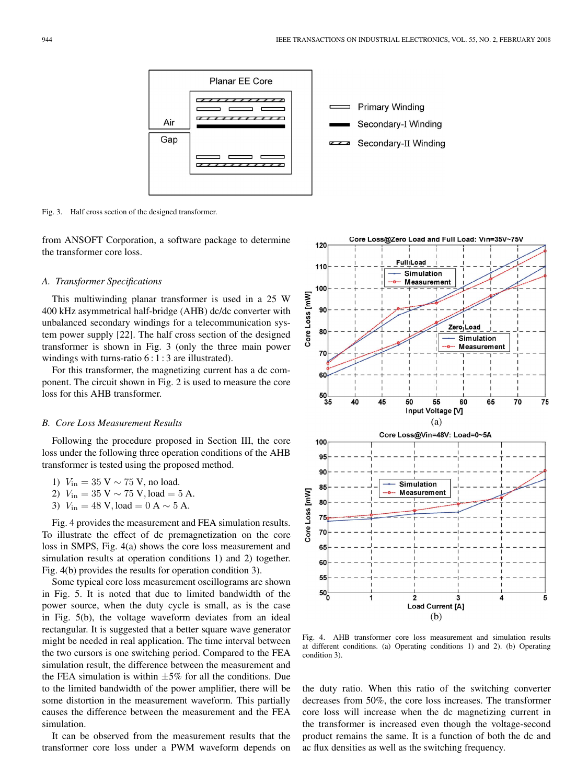



Fig. 3. Half cross section of the designed transformer.

from ANSOFT Corporation, a software package to determine the transformer core loss.

## *A. Transformer Specifications*

This multiwinding planar transformer is used in a 25 W 400 kHz asymmetrical half-bridge (AHB) dc/dc converter with unbalanced secondary windings for a telecommunication system power supply [22]. The half cross section of the designed transformer is shown in Fig. 3 (only the three main power windings with turns-ratio  $6:1:3$  are illustrated).

For this transformer, the magnetizing current has a dc component. The circuit shown in Fig. 2 is used to measure the core loss for this AHB transformer.

## *B. Core Loss Measurement Results*

Following the procedure proposed in Section III, the core loss under the following three operation conditions of the AHB transformer is tested using the proposed method.

1)  $V_{\text{in}} = 35 \text{ V} \sim 75 \text{ V}$ , no load.

- 2)  $V_{\text{in}} = 35 \text{ V} \sim 75 \text{ V}$ , load = 5 A.
- 3)  $V_{\text{in}} = 48 \text{ V}$ , load = 0 A  $\sim 5 \text{ A}$ .

Fig. 4 provides the measurement and FEA simulation results. To illustrate the effect of dc premagnetization on the core loss in SMPS, Fig. 4(a) shows the core loss measurement and simulation results at operation conditions 1) and 2) together. Fig. 4(b) provides the results for operation condition 3).

Some typical core loss measurement oscillograms are shown in Fig. 5. It is noted that due to limited bandwidth of the power source, when the duty cycle is small, as is the case in Fig. 5(b), the voltage waveform deviates from an ideal rectangular. It is suggested that a better square wave generator might be needed in real application. The time interval between the two cursors is one switching period. Compared to the FEA simulation result, the difference between the measurement and the FEA simulation is within  $\pm 5\%$  for all the conditions. Due to the limited bandwidth of the power amplifier, there will be some distortion in the measurement waveform. This partially causes the difference between the measurement and the FEA simulation.

It can be observed from the measurement results that the transformer core loss under a PWM waveform depends on



Fig. 4. AHB transformer core loss measurement and simulation results at different conditions. (a) Operating conditions 1) and 2). (b) Operating condition 3).

the duty ratio. When this ratio of the switching converter decreases from 50%, the core loss increases. The transformer core loss will increase when the dc magnetizing current in the transformer is increased even though the voltage-second product remains the same. It is a function of both the dc and ac flux densities as well as the switching frequency.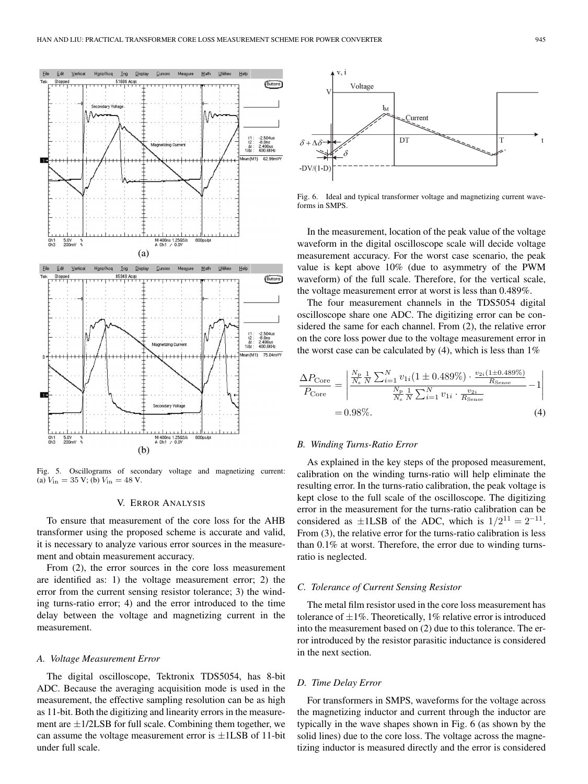

Fig. 5. Oscillograms of secondary voltage and magnetizing current: (a)  $V_{\text{in}} = 35 \text{ V}$ ; (b)  $V_{\text{in}} = 48 \text{ V}$ .

#### V. ERROR ANALYSIS

To ensure that measurement of the core loss for the AHB transformer using the proposed scheme is accurate and valid, it is necessary to analyze various error sources in the measurement and obtain measurement accuracy.

From (2), the error sources in the core loss measurement are identified as: 1) the voltage measurement error; 2) the error from the current sensing resistor tolerance; 3) the winding turns-ratio error; 4) and the error introduced to the time delay between the voltage and magnetizing current in the measurement.

## *A. Voltage Measurement Error*

The digital oscilloscope, Tektronix TDS5054, has 8-bit ADC. Because the averaging acquisition mode is used in the measurement, the effective sampling resolution can be as high as 11-bit. Both the digitizing and linearity errors in the measurement are  $\pm 1/2LSB$  for full scale. Combining them together, we can assume the voltage measurement error is  $\pm$ 1LSB of 11-bit under full scale.



Fig. 6. Ideal and typical transformer voltage and magnetizing current waveforms in SMPS.

In the measurement, location of the peak value of the voltage waveform in the digital oscilloscope scale will decide voltage measurement accuracy. For the worst case scenario, the peak value is kept above 10% (due to asymmetry of the PWM waveform) of the full scale. Therefore, for the vertical scale, the voltage measurement error at worst is less than 0.489%.

The four measurement channels in the TDS5054 digital oscilloscope share one ADC. The digitizing error can be considered the same for each channel. From (2), the relative error on the core loss power due to the voltage measurement error in the worst case can be calculated by  $(4)$ , which is less than  $1\%$ 

$$
\frac{\Delta P_{\text{Core}}}{P_{\text{Core}}} = \left| \frac{\frac{N_{\text{p}}}{N_{\text{s}}} \frac{1}{N} \sum_{i=1}^{N} v_{1i} (1 \pm 0.489\%) \cdot \frac{v_{2i} (1 \pm 0.489\%)}{R_{\text{Sense}}}}{\frac{N_{\text{p}}}{N_{\text{s}}} \frac{1}{N} \sum_{i=1}^{N} v_{1i} \cdot \frac{v_{2i}}{R_{\text{Sense}}}} - 1 \right|
$$
\n
$$
= 0.98\%.
$$
\n(4)

## *B. Winding Turns-Ratio Error*

As explained in the key steps of the proposed measurement, calibration on the winding turns-ratio will help eliminate the resulting error. In the turns-ratio calibration, the peak voltage is kept close to the full scale of the oscilloscope. The digitizing error in the measurement for the turns-ratio calibration can be considered as  $\pm$ 1LSB of the ADC, which is  $1/2^{11} = 2^{-11}$ . From (3), the relative error for the turns-ratio calibration is less than 0.1% at worst. Therefore, the error due to winding turnsratio is neglected.

# *C. Tolerance of Current Sensing Resistor*

The metal film resistor used in the core loss measurement has tolerance of  $\pm 1\%$ . Theoretically, 1% relative error is introduced into the measurement based on (2) due to this tolerance. The error introduced by the resistor parasitic inductance is considered in the next section.

## *D. Time Delay Error*

For transformers in SMPS, waveforms for the voltage across the magnetizing inductor and current through the inductor are typically in the wave shapes shown in Fig. 6 (as shown by the solid lines) due to the core loss. The voltage across the magnetizing inductor is measured directly and the error is considered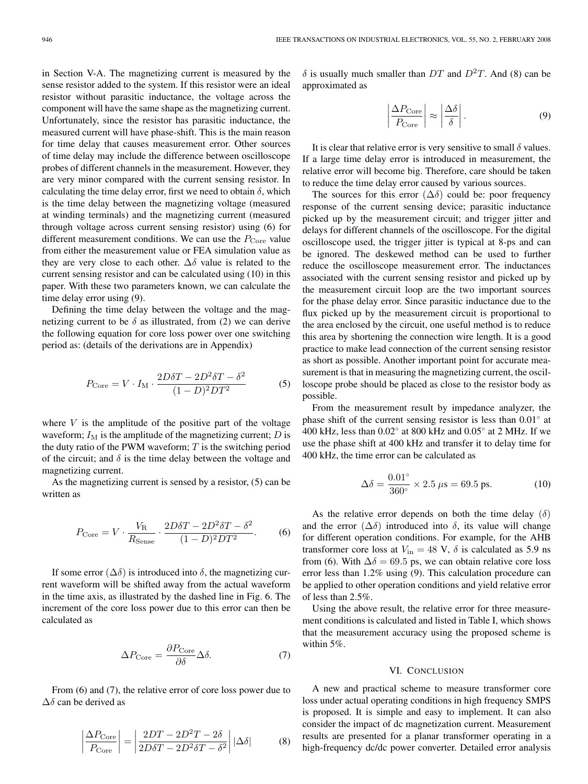in Section V-A. The magnetizing current is measured by the sense resistor added to the system. If this resistor were an ideal resistor without parasitic inductance, the voltage across the component will have the same shape as the magnetizing current. Unfortunately, since the resistor has parasitic inductance, the measured current will have phase-shift. This is the main reason for time delay that causes measurement error. Other sources of time delay may include the difference between oscilloscope probes of different channels in the measurement. However, they are very minor compared with the current sensing resistor. In calculating the time delay error, first we need to obtain  $\delta$ , which is the time delay between the magnetizing voltage (measured at winding terminals) and the magnetizing current (measured through voltage across current sensing resistor) using (6) for different measurement conditions. We can use the  $P_{\text{Core}}$  value from either the measurement value or FEA simulation value as they are very close to each other.  $\Delta\delta$  value is related to the current sensing resistor and can be calculated using (10) in this paper. With these two parameters known, we can calculate the time delay error using (9).

Defining the time delay between the voltage and the magnetizing current to be  $\delta$  as illustrated, from (2) we can derive the following equation for core loss power over one switching period as: (details of the derivations are in Appendix)

$$
P_{\text{Core}} = V \cdot I_{\text{M}} \cdot \frac{2D\delta T - 2D^2 \delta T - \delta^2}{(1 - D)^2 DT^2} \tag{5}
$$

where  $V$  is the amplitude of the positive part of the voltage waveform;  $I_M$  is the amplitude of the magnetizing current;  $D$  is the duty ratio of the PWM waveform;  $T$  is the switching period of the circuit; and  $\delta$  is the time delay between the voltage and magnetizing current.

As the magnetizing current is sensed by a resistor, (5) can be written as

$$
P_{\text{Core}} = V \cdot \frac{V_{\text{R}}}{R_{\text{Sense}}} \cdot \frac{2D\delta T - 2D^2 \delta T - \delta^2}{(1 - D)^2 DT^2}.
$$
 (6)

If some error  $(\Delta \delta)$  is introduced into  $\delta$ , the magnetizing current waveform will be shifted away from the actual waveform in the time axis, as illustrated by the dashed line in Fig. 6. The increment of the core loss power due to this error can then be calculated as

$$
\Delta P_{\text{Core}} = \frac{\partial P_{\text{Core}}}{\partial \delta} \Delta \delta. \tag{7}
$$

From (6) and (7), the relative error of core loss power due to  $\Delta\delta$  can be derived as

$$
\left| \frac{\Delta P_{\text{Core}}}{P_{\text{Core}}} \right| = \left| \frac{2DT - 2D^2T - 2\delta}{2D\delta T - 2D^2\delta T - \delta^2} \right| |\Delta\delta| \tag{8}
$$

 $\delta$  is usually much smaller than DT and D<sup>2</sup>T. And (8) can be approximated as

$$
\left| \frac{\Delta P_{\text{Core}}}{P_{\text{Core}}} \right| \approx \left| \frac{\Delta \delta}{\delta} \right|.
$$
 (9)

It is clear that relative error is very sensitive to small  $\delta$  values. If a large time delay error is introduced in measurement, the relative error will become big. Therefore, care should be taken to reduce the time delay error caused by various sources.

The sources for this error  $(\Delta \delta)$  could be: poor frequency response of the current sensing device; parasitic inductance picked up by the measurement circuit; and trigger jitter and delays for different channels of the oscilloscope. For the digital oscilloscope used, the trigger jitter is typical at 8-ps and can be ignored. The deskewed method can be used to further reduce the oscilloscope measurement error. The inductances associated with the current sensing resistor and picked up by the measurement circuit loop are the two important sources for the phase delay error. Since parasitic inductance due to the flux picked up by the measurement circuit is proportional to the area enclosed by the circuit, one useful method is to reduce this area by shortening the connection wire length. It is a good practice to make lead connection of the current sensing resistor as short as possible. Another important point for accurate measurement is that in measuring the magnetizing current, the oscilloscope probe should be placed as close to the resistor body as possible.

From the measurement result by impedance analyzer, the phase shift of the current sensing resistor is less than  $0.01°$  at 400 kHz, less than 0.02◦ at 800 kHz and 0.05◦ at 2 MHz. If we use the phase shift at 400 kHz and transfer it to delay time for 400 kHz, the time error can be calculated as

$$
\Delta \delta = \frac{0.01^{\circ}}{360^{\circ}} \times 2.5 \,\mu s = 69.5 \,\text{ps.}
$$
 (10)

As the relative error depends on both the time delay  $(\delta)$ and the error  $(\Delta \delta)$  introduced into  $\delta$ , its value will change for different operation conditions. For example, for the AHB transformer core loss at  $V_{\text{in}} = 48 \text{ V}$ ,  $\delta$  is calculated as 5.9 ns from (6). With  $\Delta\delta = 69.5$  ps, we can obtain relative core loss error less than 1.2% using (9). This calculation procedure can be applied to other operation conditions and yield relative error of less than 2.5%.

Using the above result, the relative error for three measurement conditions is calculated and listed in Table I, which shows that the measurement accuracy using the proposed scheme is within 5%.

## VI. CONCLUSION

A new and practical scheme to measure transformer core loss under actual operating conditions in high frequency SMPS is proposed. It is simple and easy to implement. It can also consider the impact of dc magnetization current. Measurement results are presented for a planar transformer operating in a high-frequency dc/dc power converter. Detailed error analysis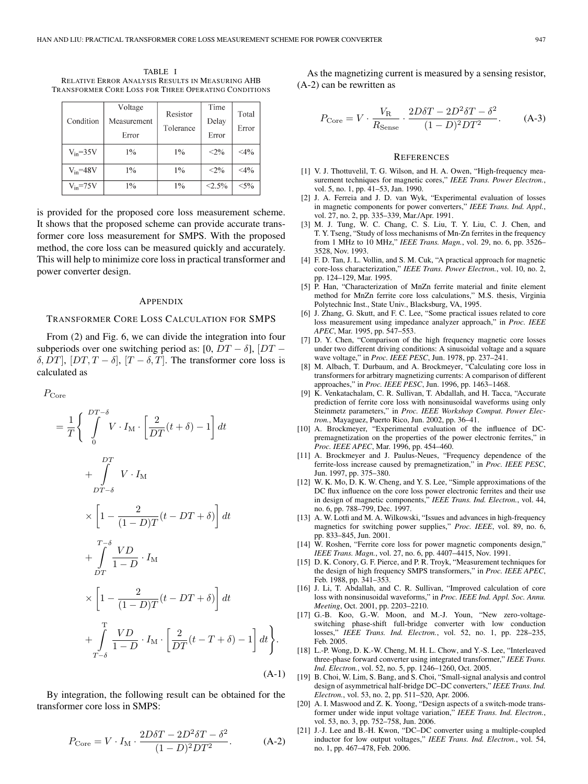TABLE I RELATIVE ERROR ANALYSIS RESULTS IN MEASURING AHB TRANSFORMER CORE LOSS FOR THREE OPERATING CONDITIONS

| Condition      | Voltage<br>Measurement<br>Error | Resistor<br>Tolerance | Time<br>Delay<br>Error | Total<br>Error |
|----------------|---------------------------------|-----------------------|------------------------|----------------|
| $V_{in} = 35V$ | $1\%$                           | $1\%$                 | $<$ 2%                 | $<\!\!4\!\%$   |
| $V_{in} = 48V$ | $1\%$                           | $1\%$                 | $<$ 2%                 | $<\!\!4\!\%$   |
| $V_{in} = 75V$ | $1\%$                           | $1\%$                 | $< 2.5\%$              | $< 5\%$        |

is provided for the proposed core loss measurement scheme. It shows that the proposed scheme can provide accurate transformer core loss measurement for SMPS. With the proposed method, the core loss can be measured quickly and accurately. This will help to minimize core loss in practical transformer and power converter design.

#### APPENDIX

## TRANSFORMER CORE LOSS CALCULATION FOR SMPS

From (2) and Fig. 6, we can divide the integration into four subperiods over one switching period as: [0,  $DT - \delta$ ], [DT – δ, DT, [DT, T – δ, [T – δ, T]. The transformer core loss is calculated as

$$
P_{\rm Core}
$$

$$
= \frac{1}{T} \left\{ \int_{0}^{DT-\delta} V \cdot I_{\mathrm{M}} \cdot \left[ \frac{2}{DT}(t+\delta) - 1 \right] dt \right\}+ \int_{DT-\delta}^{DT} V \cdot I_{\mathrm{M}} \times \left[ 1 - \frac{2}{(1-D)T}(t - DT + \delta) \right] dt + \int_{DT}^{T-\delta} \frac{VD}{1-D} \cdot I_{\mathrm{M}} \times \left[ 1 - \frac{2}{(1-D)T}(t - DT + \delta) \right] dt + \int_{T-\delta}^{T} \frac{VD}{1-D} \cdot I_{\mathrm{M}} \cdot \left[ \frac{2}{DT}(t - T + \delta) - 1 \right] dt \right\}. \tag{A-1}
$$

By integration, the following result can be obtained for the transformer core loss in SMPS:

$$
P_{\text{Core}} = V \cdot I_{\text{M}} \cdot \frac{2D\delta T - 2D^2 \delta T - \delta^2}{(1 - D)^2 DT^2}.
$$
 (A-2)

.

As the magnetizing current is measured by a sensing resistor, (A-2) can be rewritten as

$$
P_{\text{Core}} = V \cdot \frac{V_{\text{R}}}{R_{\text{Sense}}} \cdot \frac{2D\delta T - 2D^2 \delta T - \delta^2}{(1 - D)^2 DT^2}.
$$
 (A-3)

# **REFERENCES**

- [1] V. J. Thottuvelil, T. G. Wilson, and H. A. Owen, "High-frequency measurement techniques for magnetic cores," *IEEE Trans. Power Electron.*, vol. 5, no. 1, pp. 41–53, Jan. 1990.
- [2] J. A. Ferreia and J. D. van Wyk, "Experimental evaluation of losses in magnetic components for power converters," *IEEE Trans. Ind. Appl.*, vol. 27, no. 2, pp. 335–339, Mar./Apr. 1991.
- [3] M. J. Tung, W. C. Chang, C. S. Liu, T. Y. Liu, C. J. Chen, and T. Y. Tseng, "Study of loss mechanisms of Mn-Zn ferrites in the frequency from 1 MHz to 10 MHz," *IEEE Trans. Magn.*, vol. 29, no. 6, pp. 3526– 3528, Nov. 1993.
- [4] F. D. Tan, J. L. Vollin, and S. M. Cuk, "A practical approach for magnetic core-loss characterization," *IEEE Trans. Power Electron.*, vol. 10, no. 2, pp. 124–129, Mar. 1995.
- [5] P. Han, "Characterization of MnZn ferrite material and finite element method for MnZn ferrite core loss calculations," M.S. thesis, Virginia Polytechnic Inst., State Univ., Blacksburg, VA, 1995.
- [6] J. Zhang, G. Skutt, and F. C. Lee, "Some practical issues related to core loss measurement using impedance analyzer approach," in *Proc. IEEE APEC*, Mar. 1995, pp. 547–553.
- [7] D. Y. Chen, "Comparison of the high frequency magnetic core losses under two different driving conditions: A sinusoidal voltage and a square wave voltage," in *Proc. IEEE PESC*, Jun. 1978, pp. 237–241.
- [8] M. Albach, T. Durbaum, and A. Brockmeyer, "Calculating core loss in transformers for arbitrary magnetizing currents: A comparison of different approaches," in *Proc. IEEE PESC*, Jun. 1996, pp. 1463–1468.
- [9] K. Venkatachalam, C. R. Sullivan, T. Abdallah, and H. Tacca, "Accurate prediction of ferrite core loss with nonsinusoidal waveforms using only Steinmetz parameters," in *Proc. IEEE Workshop Comput. Power Electron.*, Mayaguez, Puerto Rico, Jun. 2002, pp. 36–41.
- [10] A. Brockmeyer, "Experimental evaluation of the influence of DCpremagnetization on the properties of the power electronic ferrites," in *Proc. IEEE APEC*, Mar. 1996, pp. 454–460.
- [11] A. Brockmeyer and J. Paulus-Neues, "Frequency dependence of the ferrite-loss increase caused by premagnetization," in *Proc. IEEE PESC*, Jun. 1997, pp. 375–380.
- [12] W. K. Mo, D. K. W. Cheng, and Y. S. Lee, "Simple approximations of the DC flux influence on the core loss power electronic ferrites and their use in design of magnetic components," *IEEE Trans. Ind. Electron.*, vol. 44, no. 6, pp. 788–799, Dec. 1997.
- [13] A. W. Lotfi and M. A. Wilkowski, "Issues and advances in high-frequency magnetics for switching power supplies," *Proc. IEEE*, vol. 89, no. 6, pp. 833–845, Jun. 2001.
- [14] W. Roshen, "Ferrite core loss for power magnetic components design," *IEEE Trans. Magn.*, vol. 27, no. 6, pp. 4407–4415, Nov. 1991.
- [15] D. K. Conory, G. F. Pierce, and P. R. Troyk, "Measurement techniques for the design of high frequency SMPS transformers," in *Proc. IEEE APEC*, Feb. 1988, pp. 341–353.
- [16] J. Li, T. Abdallah, and C. R. Sullivan, "Improved calculation of core loss with nonsinusoidal waveforms," in *Proc. IEEE Ind. Appl. Soc. Annu. Meeting*, Oct. 2001, pp. 2203–2210.
- [17] G.-B. Koo, G.-W. Moon, and M.-J. Youn, "New zero-voltageswitching phase-shift full-bridge converter with low conduction losses," *IEEE Trans. Ind. Electron.*, vol. 52, no. 1, pp. 228–235, Feb. 2005.
- [18] L.-P. Wong, D. K.-W. Cheng, M. H. L. Chow, and Y.-S. Lee, "Interleaved three-phase forward converter using integrated transformer," *IEEE Trans. Ind. Electron.*, vol. 52, no. 5, pp. 1246–1260, Oct. 2005.
- [19] B. Choi, W. Lim, S. Bang, and S. Choi, "Small-signal analysis and control design of asymmetrical half-bridge DC–DC converters," *IEEE Trans. Ind. Electron.*, vol. 53, no. 2, pp. 511–520, Apr. 2006.
- [20] A. I. Maswood and Z. K. Yoong, "Design aspects of a switch-mode transformer under wide input voltage variation," *IEEE Trans. Ind. Electron.*, vol. 53, no. 3, pp. 752–758, Jun. 2006.
- [21] J.-J. Lee and B.-H. Kwon, "DC–DC converter using a multiple-coupled inductor for low output voltages," *IEEE Trans. Ind. Electron.*, vol. 54, no. 1, pp. 467–478, Feb. 2006.